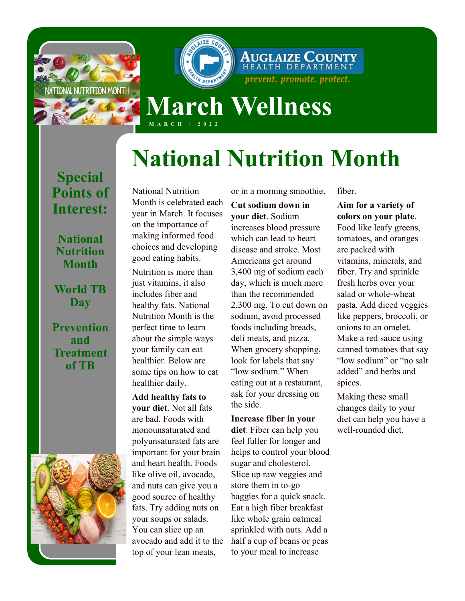

**AUGLAIZE COUNTY** prevent. promote. protect. **March Wellness**

# **National Nutrition Month**

**Special Points of Interest:**

#### **National Nutrition Month**

**World TB Day**

**Prevention and Treatment of TB**



National Nutrition Month is celebrated each year in March. It focuses on the importance of making informed food choices and developing good eating habits.

**M A R C H | 2 0 2 2**

Nutrition is more than just vitamins, it also includes fiber and healthy fats. National Nutrition Month is the perfect time to learn about the simple ways your family can eat healthier. Below are some tips on how to eat healthier daily.

**Add healthy fats to your diet**. Not all fats are bad. Foods with monounsaturated and polyunsaturated fats are important for your brain and heart health. Foods like olive oil, avocado, and nuts can give you a good source of healthy fats. Try adding nuts on your soups or salads. You can slice up an avocado and add it to the top of your lean meats,

or in a morning smoothie.

**Cut sodium down in your diet**. Sodium increases blood pressure which can lead to heart disease and stroke. Most Americans get around 3,400 mg of sodium each day, which is much more than the recommended 2,300 mg. To cut down on sodium, avoid processed foods including breads, deli meats, and pizza. When grocery shopping, look for labels that say "low sodium." When eating out at a restaurant, ask for your dressing on the side.

**Increase fiber in your diet**. Fiber can help you feel fuller for longer and helps to control your blood sugar and cholesterol. Slice up raw veggies and store them in to-go baggies for a quick snack. Eat a high fiber breakfast like whole grain oatmeal sprinkled with nuts. Add a half a cup of beans or peas to your meal to increase

fiber.

**Aim for a variety of colors on your plate**. Food like leafy greens, tomatoes, and oranges are packed with vitamins, minerals, and fiber. Try and sprinkle fresh herbs over your salad or whole-wheat pasta. Add diced veggies like peppers, broccoli, or onions to an omelet. Make a red sauce using canned tomatoes that say "low sodium" or "no salt added" and herbs and spices.

Making these small changes daily to your diet can help you have a well-rounded diet.